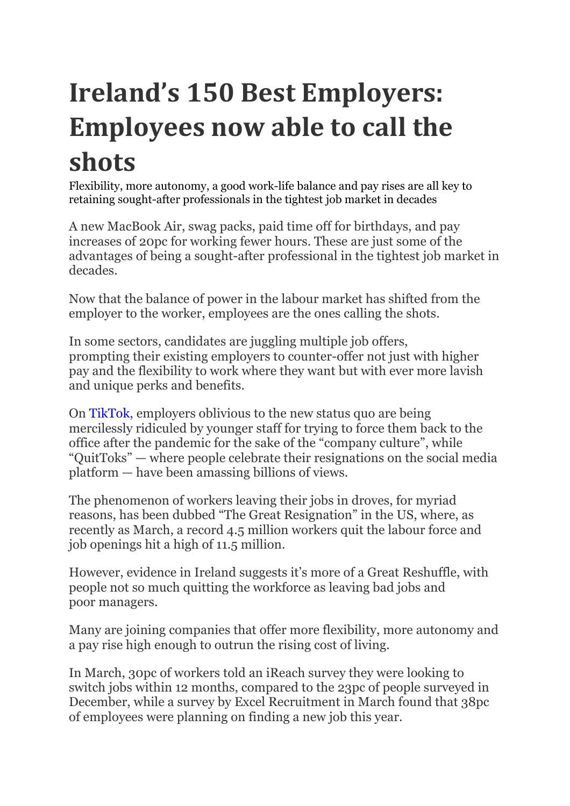## **Ireland's 150 Best Employers: Employees now able to call the shots**

Flexibility, more autonomy, a good work-life balance and pay rises are all key to retaining sought-after professionals in the tightest job market in decades

A new MacBook Air, swag packs, paid time off for birthdays, and pay increases of 20pc for working fewer hours. These are just some of the advantages of being a sought-after professional in the tightest job market in decades.

Now that the balance of power in the labour market has shifted from the employer to the worker, employees are the ones calling the shots.

In some sectors, candidates are juggling multiple job offers, prompting their existing employers to counter-offer not just with higher pay and the flexibility to work where they want but with ever more lavish and unique perks and benefits.

On TikTok, employers oblivious to the new status quo are being mercilessly ridiculed by younger staff for trying to force them back to the office after the pandemic for the sake of the "company culture", while "QuitToks" — where people celebrate their resignations on the social media platform — have been amassing billions of views.

The phenomenon of workers leaving their jobs in droves, for myriad reasons, has been dubbed "The Great Resignation" in the US, where, as recently as March, a record 4.5 million workers quit the labour force and job openings hit a high of 11.5 million.

However, evidence in Ireland suggests it's more of a Great Reshuffle, with people not so much quitting the workforce as leaving bad jobs and poor managers.

Many are joining companies that offer more flexibility, more autonomy and a pay rise high enough to outrun the rising cost of living.

In March, 30pc of workers told an iReach survey they were looking to switch jobs within 12 months, compared to the 23pc of people surveyed in December, while a survey by Excel Recruitment in March found that 38pc of employees were planning on finding a new job this year.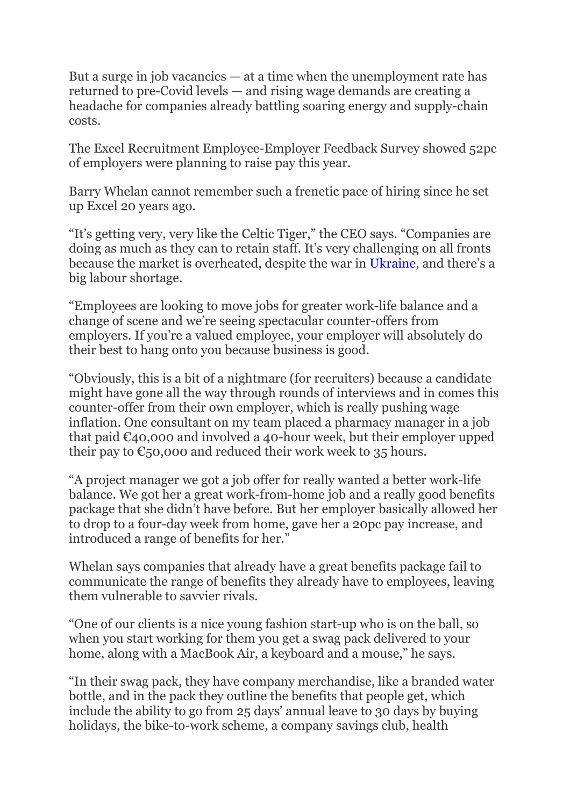But a surge in job vacancies — at a time when the unemployment rate has returned to pre-Covid levels — and rising wage demands are creating a headache for companies already battling soaring energy and supply-chain costs.

The Excel Recruitment Employee-Employer Feedback Survey showed 52pc of employers were planning to raise pay this year.

Barry Whelan cannot remember such a frenetic pace of hiring since he set up Excel 20 years ago.

"It's getting very, very like the Celtic Tiger," the CEO says. "Companies are doing as much as they can to retain staff. It's very challenging on all fronts because the market is overheated, despite the war in Ukraine, and there's a big labour shortage.

"Employees are looking to move jobs for greater work-life balance and a change of scene and we're seeing spectacular counter-offers from employers. If you're a valued employee, your employer will absolutely do their best to hang onto you because business is good.

"Obviously, this is a bit of a nightmare (for recruiters) because a candidate might have gone all the way through rounds of interviews and in comes this counter-offer from their own employer, which is really pushing wage inflation. One consultant on my team placed a pharmacy manager in a job that paid  $\epsilon$ 40,000 and involved a 40-hour week, but their employer upped their pay to  $\epsilon$ 50,000 and reduced their work week to 35 hours.

"A project manager we got a job offer for really wanted a better work-life balance. We got her a great work-from-home job and a really good benefits package that she didn't have before. But her employer basically allowed her to drop to a four-day week from home, gave her a 20pc pay increase, and introduced a range of benefits for her."

Whelan says companies that already have a great benefits package fail to communicate the range of benefits they already have to employees, leaving them vulnerable to savvier rivals.

"One of our clients is a nice young fashion start-up who is on the ball, so when you start working for them you get a swag pack delivered to your home, along with a MacBook Air, a keyboard and a mouse," he says.

"In their swag pack, they have company merchandise, like a branded water bottle, and in the pack they outline the benefits that people get, which include the ability to go from 25 days' annual leave to 30 days by buying holidays, the bike-to-work scheme, a company savings club, health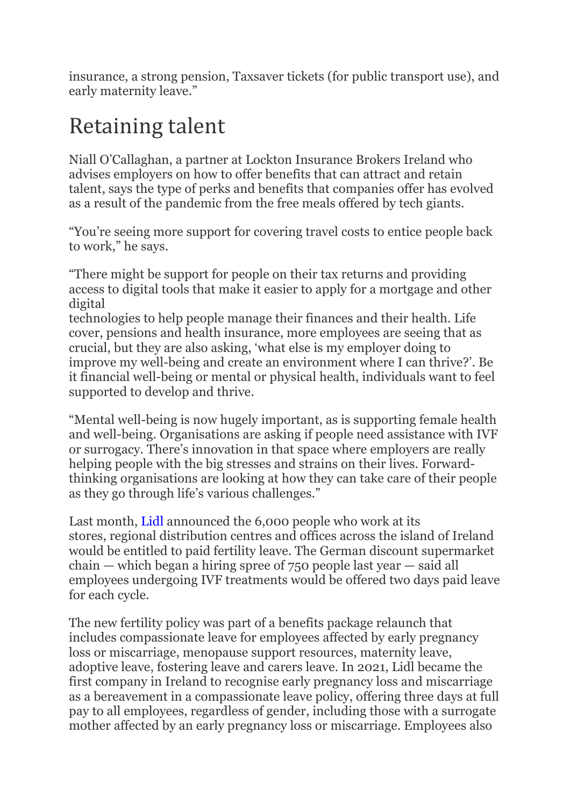insurance, a strong pension, Taxsaver tickets (for public transport use), and early maternity leave."

## **Retaining talent**

Niall O'Callaghan, a partner at Lockton Insurance Brokers Ireland who advises employers on how to offer benefits that can attract and retain talent, says the type of perks and benefits that companies offer has evolved as a result of the pandemic from the free meals offered by tech giants.

"You're seeing more support for covering travel costs to entice people back to work," he says.

"There might be support for people on their tax returns and providing access to digital tools that make it easier to apply for a mortgage and other digital

technologies to help people manage their finances and their health. Life cover, pensions and health insurance, more employees are seeing that as crucial, but they are also asking, 'what else is my employer doing to improve my well-being and create an environment where I can thrive?'. Be it financial well-being or mental or physical health, individuals want to feel supported to develop and thrive.

"Mental well-being is now hugely important, as is supporting female health and well-being. Organisations are asking if people need assistance with IVF or surrogacy. There's innovation in that space where employers are really helping people with the big stresses and strains on their lives. Forwardthinking organisations are looking at how they can take care of their people as they go through life's various challenges."

Last month, Lidl announced the 6,000 people who work at its stores, regional distribution centres and offices across the island of Ireland would be entitled to paid fertility leave. The German discount supermarket chain — which began a hiring spree of 750 people last year — said all employees undergoing IVF treatments would be offered two days paid leave for each cycle.

The new fertility policy was part of a benefits package relaunch that includes compassionate leave for employees affected by early pregnancy loss or miscarriage, menopause support resources, maternity leave, adoptive leave, fostering leave and carers leave. In 2021, Lidl became the first company in Ireland to recognise early pregnancy loss and miscarriage as a bereavement in a compassionate leave policy, offering three days at full pay to all employees, regardless of gender, including those with a surrogate mother affected by an early pregnancy loss or miscarriage. Employees also